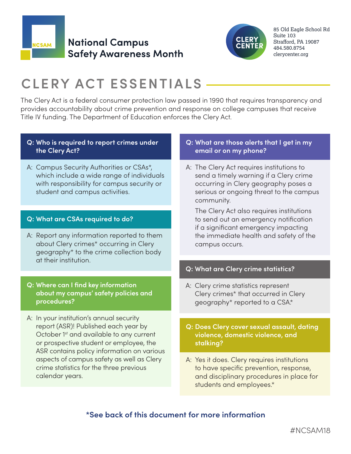

## **National Campus Safety Awareness Month**



85 Old Eagle School Rd Suite 103 Strafford, PA 19087 484.580.8754 clerycenter.org

# **CLERY ACT ESSENTIALS**

The Clery Act is a federal consumer protection law passed in 1990 that requires transparency and provides accountability about crime prevention and response on college campuses that receive Title IV funding. The Department of Education enforces the Clery Act.

#### **Q: Who is required to report crimes under the Clery Act?**

A: Campus Security Authorities or CSAs\*, which include a wide range of individuals with responsibility for campus security or student and campus activities.

#### **Q: What are CSAs required to do?**

A: Report any information reported to them about Clery crimes\* occurring in Clery geography\* to the crime collection body at their institution.

#### **Q: Where can I find key information about my campus' safety policies and procedures?**

A: In your institution's annual security report (ASR)! Published each year by October 1<sup>st</sup> and available to any current or prospective student or employee, the ASR contains policy information on various aspects of campus safety as well as Clery crime statistics for the three previous calendar years.

#### **Q: What are those alerts that I get in my email or on my phone?**

A: The Clery Act requires institutions to send a timely warning if a Clery crime occurring in Clery geography poses a serious or ongoing threat to the campus community.

 The Clery Act also requires institutions to send out an emergency notification if a significant emergency impacting the immediate health and safety of the campus occurs.

#### **Q: What are Clery crime statistics?**

- A: Clery crime statistics represent Clery crimes\* that occurred in Clery geography\* reported to a CSA.\*
- **Q: Does Clery cover sexual assault, dating violence, domestic violence, and stalking?**
- A: Yes it does. Clery requires institutions to have specific prevention, response, and disciplinary procedures in place for students and employees.\*

## **\*See back of this document for more information**